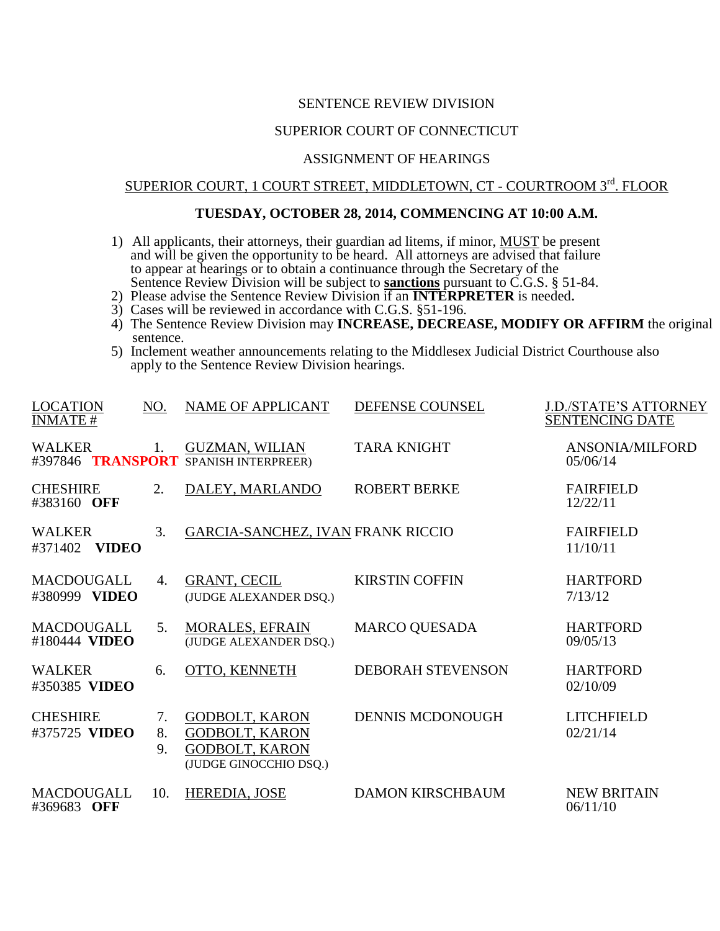## SENTENCE REVIEW DIVISION

## SUPERIOR COURT OF CONNECTICUT

#### ASSIGNMENT OF HEARINGS

# SUPERIOR COURT, 1 COURT STREET, MIDDLETOWN, CT - COURTROOM 3rd. FLOOR

#### **TUESDAY, OCTOBER 28, 2014, COMMENCING AT 10:00 A.M.**

- 1) All applicants, their attorneys, their guardian ad litems, if minor, **MUST** be present and will be given the opportunity to be heard. All attorneys are advised that failure to appear at hearings or to obtain a continuance through the Secretary of the Sentence Review Division will be subject to **sanctions** pursuant to C.G.S. § 51-84.
- 2) Please advise the Sentence Review Division if an **INTERPRETER** is needed.
- 3) Cases will be reviewed in accordance with C.G.S. §51-196.
- 4) The Sentence Review Division may **INCREASE, DECREASE, MODIFY OR AFFIRM** the original sentence.
- 5) Inclement weather announcements relating to the Middlesex Judicial District Courthouse also apply to the Sentence Review Division hearings.

| <b>LOCATION</b><br><b>INMATE#</b>        | NO.            | <b>NAME OF APPLICANT</b>                                                                          | DEFENSE COUNSEL          | <b>J.D./STATE'S ATTORNEY</b><br><b>SENTENCING DATE</b> |
|------------------------------------------|----------------|---------------------------------------------------------------------------------------------------|--------------------------|--------------------------------------------------------|
| <b>WALKER</b>                            | 1.             | <b>GUZMAN, WILIAN</b><br>#397846 TRANSPORT SPANISH INTERPREER)                                    | <b>TARA KNIGHT</b>       | ANSONIA/MILFORD<br>05/06/14                            |
| <b>CHESHIRE</b><br>#383160 OFF           | 2.             | DALEY, MARLANDO                                                                                   | <b>ROBERT BERKE</b>      | <b>FAIRFIELD</b><br>12/22/11                           |
| <b>WALKER</b><br><b>VIDEO</b><br>#371402 | 3.             | <b>GARCIA-SANCHEZ, IVAN FRANK RICCIO</b>                                                          |                          | <b>FAIRFIELD</b><br>11/10/11                           |
| <b>MACDOUGALL</b><br>#380999 VIDEO       | 4.             | <b>GRANT, CECIL</b><br>(JUDGE ALEXANDER DSQ.)                                                     | <b>KIRSTIN COFFIN</b>    | <b>HARTFORD</b><br>7/13/12                             |
| <b>MACDOUGALL</b><br>#180444 VIDEO       | 5.             | <b>MORALES, EFRAIN</b><br>(JUDGE ALEXANDER DSQ.)                                                  | <b>MARCO QUESADA</b>     | <b>HARTFORD</b><br>09/05/13                            |
| <b>WALKER</b><br>#350385 VIDEO           | 6.             | OTTO, KENNETH                                                                                     | <b>DEBORAH STEVENSON</b> | <b>HARTFORD</b><br>02/10/09                            |
| <b>CHESHIRE</b><br>#375725 VIDEO         | 7.<br>8.<br>9. | <b>GODBOLT, KARON</b><br><b>GODBOLT, KARON</b><br><b>GODBOLT, KARON</b><br>(JUDGE GINOCCHIO DSQ.) | <b>DENNIS MCDONOUGH</b>  | <b>LITCHFIELD</b><br>02/21/14                          |
| <b>MACDOUGALL</b><br>#369683 OFF         | 10.            | HEREDIA, JOSE                                                                                     | <b>DAMON KIRSCHBAUM</b>  | <b>NEW BRITAIN</b><br>06/11/10                         |